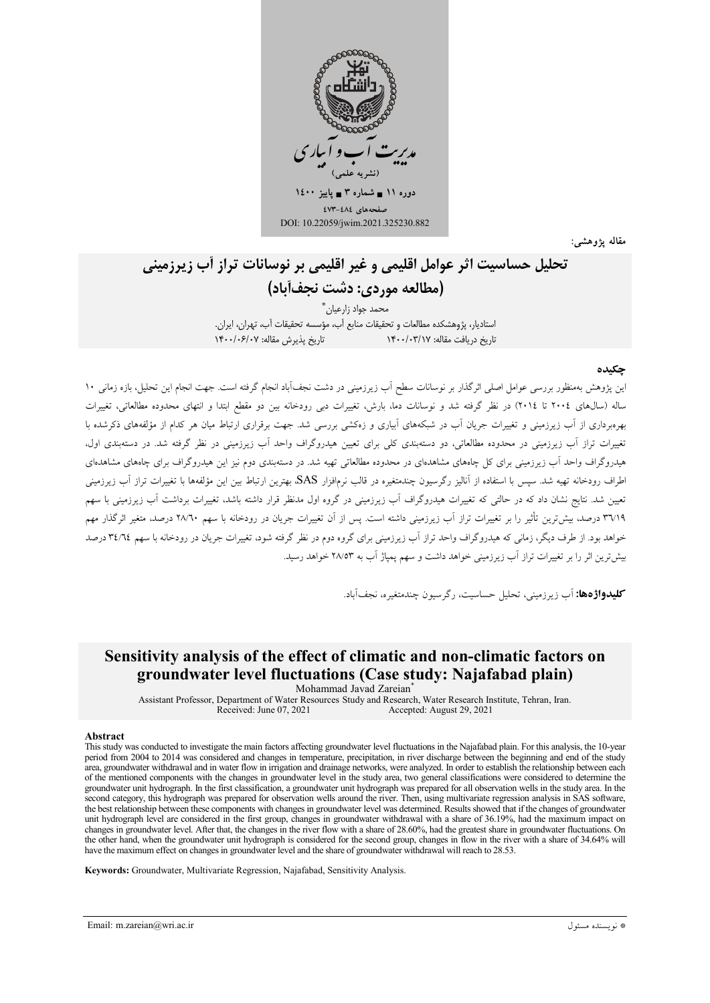

مقاله يژوهشي:

# تحلیل حساسیت اثر عوامل اقلیمی و غیر اقلیمی بر نوسانات تراز آب زیرزمینی (مطالعه موردي: دشت نجف أباد)

محمد جواد زارعيان\* .<br>استادیار، پژوهشکده مطالعات و تحقیقات منابع آب، مؤسسه تحقیقات آب، تهران، ایران. تاریخ پذیرش مقاله: ۱۴۰۰/۰۶/۰۷ تاریخ دریافت مقاله: ۱۴۰۰/۰۳/۱۷

#### حكىدە

این پژوهش بهمنظور بررسی عوامل اصلی اثرگذار بر نوسانات سطح آب زیرزمینی در دشت نجفآباد انجام گرفته است. جهت انجام این تحلیل، بازه زمانی ۱۰ ساله (سالهای ٢٠٠٤ تا ٢٠١٤) در نظر گرفته شد و نوسانات دما، بارش، تغییرات دبی رودخانه بین دو مقطع ابتدا و انتهای محدوده مطالعاتی، تغییرات بهرمبرداری از آب زیرزمینی و تغییرات جریان آب در شبکههای آبیاری و زهکشی بررسی شد. جهت برقراری ارتباط میان هر کدام از مؤلفههای ذکرشده با تغییرات تراز آب زیرزمینی در محدوده مطالعاتی، دو دستهبندی کلی برای تعیین هیدروگراف واحد آب زیرزمینی در نظر گرفته شد. در دستهبندی اول، هیدروگراف واحد اّب زیرزمینی برای کل چاههای مشاهدهای در محدوده مطالعاتی تهیه شد. در دستهبندی دوم نیز این هیدروگراف برای چاههای مشاهدهای اطراف رودخانه تهیه شد. سپس با استفاده از آنالیز رگرسیون چندمتغیره در قالب نرمافزار SAS، بهترین ارتباط بین این مؤلفهها با تغییرات تراز آب زیرزمینی تعیین شد. نتایج نشان داد که در حالتی که تغییرات هیدروگراف آب زیرزمینی در گروه اول مدنظر قرار داشته باشد، تغییرات برداشت آب زیرزمینی با سهم ۳۷۱۹ درصد، بیشترین تأثیر را بر تغییرات تراز آب زیرزمینی داشته است. پس از آن تغییرات جریان در رودخانه با سهم ۲۸/٦۰ درصد، متغم اثرگذار مهم خواهد بود. از طرف دیگر، زمانی که هیدروگراف واحد تراز آب زیرزمینی برای گروه دوم در نظر گرفته شود، تغییرات جریان در رودخانه با سهم ٣٤/٦٤ درصد بیش ترین اثر را بر تغییرات تراز آب زیرزمینی خواهد داشت و سهم پمیاژ آب به ۲۸/۵۳ خواهد رسید.

**كليدواژدها:** آب زي<sub>ر</sub>زميني، تحليل حساسيت، رگرسيون چندمتغيره، نجفآباد.

## Sensitivity analysis of the effect of climatic and non-climatic factors on groundwater level fluctuations (Case study: Najafabad plain)

Mohammad Javad Zareian

Assistant Professor, Department of Water Resources Study and Research, Water Research Institute, Tehran, Iran. Received: June 07, 2021 Accepted: August 29, 2021

#### Abstract

This study was conducted to investigate the main factors affecting groundwater level fluctuations in the Najafabad plain. For this analysis, the 10-year period from 2004 to 2014 was considered and changes in temperature, precipitation, in river discharge between the beginning and end of the study area, groundwater withdrawal and in water flow in irrigation and drainage networks, were analyzed. In order to establish the relationship between each of the mentioned components with the changes in groundwater level in the study area, two general classifications were considered to determine the groundwater unit hydrograph. In the first classification, a groundwater unit hydrograph was prepared for all observation wells in the study area. In the second category, this hydrograph was prepared for observation wells around the river. Then, using multivariate regression analysis in SAS software, the best relationship between these components with changes in groundwater level was determined. Results showed that if the changes of groundwater unit hydrograph level are considered in the first group, changes in groundwater withdrawal with a share of 36.19%, had the maximum impact on changes in groundwater level. After that, the changes in the river flow with a share of 28.60%, had the greatest share in groundwater fluctuations. On the other hand, when the groundwater unit hydrograph is considered for the second group, changes in flow in the river with a share of 34.64% will<br>have the maximum effect on changes in groundwater level and the share of gro

Keywords: Groundwater, Multivariate Regression, Najafabad, Sensitivity Analysis.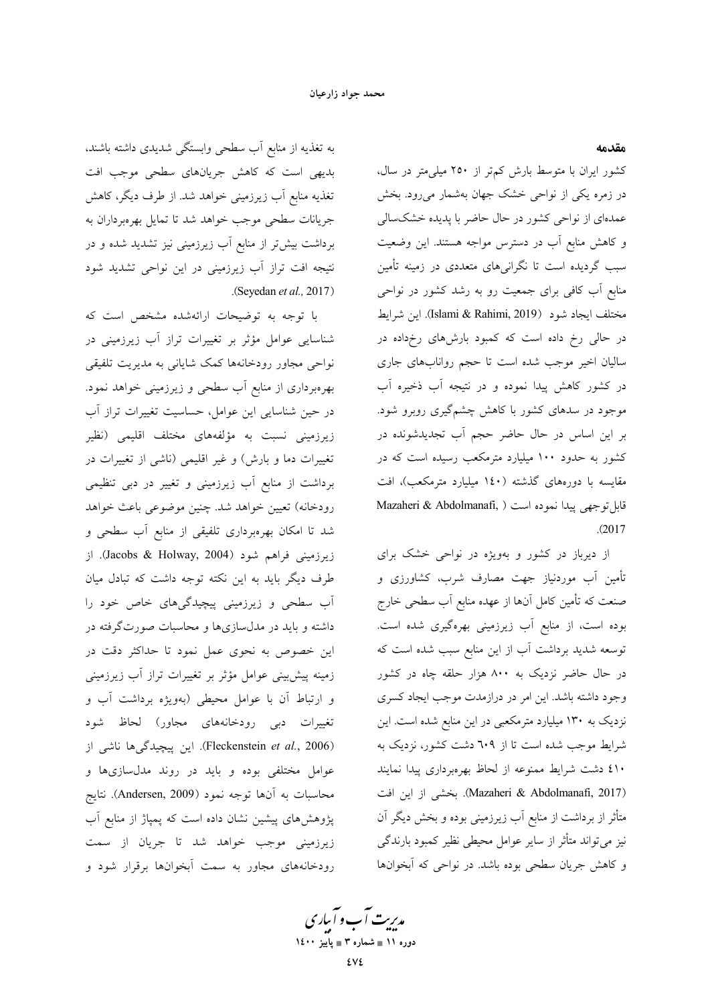مقدمه

کشور ایران با متوسط بارش کم تر از ۲۵۰ میلی متر در سال، در زمره یکی از نواحی خشک جهان بهشمار میرود. بخش عمدهای از نواحی کشور در حال حاضر با پدیده خشکسالی و كاهش منابع آب در دسترس مواجه هستند. اين وضعيت سبب گردیده است تا نگرانیهای متعددی در زمینه تأمین منابع آب کافی برای جمعیت رو به رشد کشور در نواحی مختلف ايجاد شود (Islami & Rahimi, 2019). اين شرايط در حالی رخ داده است که کمبود بارشهای رخداده در سالیان اخیر موجب شده است تا حجم روانابهای جاری در کشور کاهش پیدا نموده و در نتیجه آب ذخیره آب موجود در سدهای کشور با کاهش چشمگیری روبرو شود. بر این اساس در حال حاضر حجم آب تجدیدشونده در کشور به حدود ۱۰۰ میلیارد مترمکعب رسیده است که در مقایسه با دورههای گذشته (۱٤۰ میلیارد مترمکعب)، افت Mazaheri & Abdolmanafi, ) قابل توجهي پيدا نموده است  $(2017)$ 

از دیرباز در کشور و بهویژه در نواحی خشک برای تأمین آب موردنیاز جهت مصارف شرب، کشاورزی و صنعت که تأمین کامل آنها از عهده منابع آب سطحی خارج بوده است، از منابع آب زیرزمینی بهرهگیری شده است. توسعه شدید برداشت آب از این منابع سبب شده است که در حال حاضر نزدیک به ۸۰۰ هزار حلقه چاه در کشور وجود داشته باشد. این امر در درازمدت موجب ایجاد کسری نزدیک به ۱۳۰ میلیارد مترمکعبی در این منابع شده است. این شرایط موجب شده است تا از ۲۰۹ دشت کشور، نزدیک به ٤١٠ دشت شرايط ممنوعه از لحاظ بهرهبردارى پيدا نمايند (Mazaheri & Abdolmanafi, 2017). بخشى از اين افت متأثر از برداشت از منابع آب زیرزمینی بوده و بخش دیگر آن نیز میتواند متأثر از سایر عوامل محیطی نظیر کمبود بارندگی و کاهش جریان سطحی بوده باشد. در نواحی که آبخوانها

به تغذیه از منابع آب سطحی وابستگی شدیدی داشته باشند، بدیهی است که کاهش جریانهای سطحی موجب افت تغذیه منابع آب زیرزمینی خواهد شد. از طرف دیگر، کاهش جريانات سطحي موجب خواهد شد تا تمايل بهرهبرداران به برداشت بیشتر از منابع آب زیرزمینی نیز تشدید شده و در نتیجه افت تراز آب زیرزمینی در این نواحی تشدید شود (Seyedan et al., 2017).

با توجه به توضیحات ارائهشده مشخص است که شناسایی عوامل مؤثر بر تغییرات تراز آب زیرزمینی در نواحی مجاور رودخانهها کمک شایانی به مدیریت تلفیقی بهرهبرداری از منابع آب سطحی و زیرزمینی خواهد نمود. در حین شناسایی این عوامل، حساسیت تغییرات تراز آب زیرزمینی نسبت به مؤلفههای مختلف اقلیمی (نظیر تغییرات دما و بارش) و غیر اقلیمی (ناشی از تغییرات در برداشت از منابع آب زیرزمینی و تغییر در دبی تنظیمی رودخانه) تعیین خواهد شد. چنین موضوعی باعث خواهد شد تا امکان بهرهبرداری تلفیقی از منابع آب سطحی و زيرزميني فراهم شود (Jacobs & Holway, 2004). از طرف دیگر باید به این نکته توجه داشت که تبادل میان اّب سطحی و زیرزمینی پیچیدگیهای خاص خود را داشته و باید در مدلسازیها و محاسبات صورتگرفته در این خصوص به نحوی عمل نمود تا حداکثر دقت در زمینه پیش بینی عوامل مؤثر بر تغییرات تراز آب زیرزمینی و ارتباط آن با عوامل محیطی (بهویژه برداشت آب و تغییرات دبی رودخانههای مجاور) لحاظ شود (Fleckenstein et al., 2006). این پیچیدگی ها ناشی از عوامل مختلفی بوده و باید در روند مدلسازیها و محاسبات به آنها توجه نمود (Andersen, 2009). نتايج یژوهش های پیشین نشان داده است که پمیاژ از منابع آب زیرزمینی موجب خواهد شد تا جریان از سمت رودخانههای مجاور به سمت آبخوانها برقرار شود و

مدیریت آب و آباری دوره ۱۱ ∎ شماره ۳ ∎ یاییز ۱٤۰۰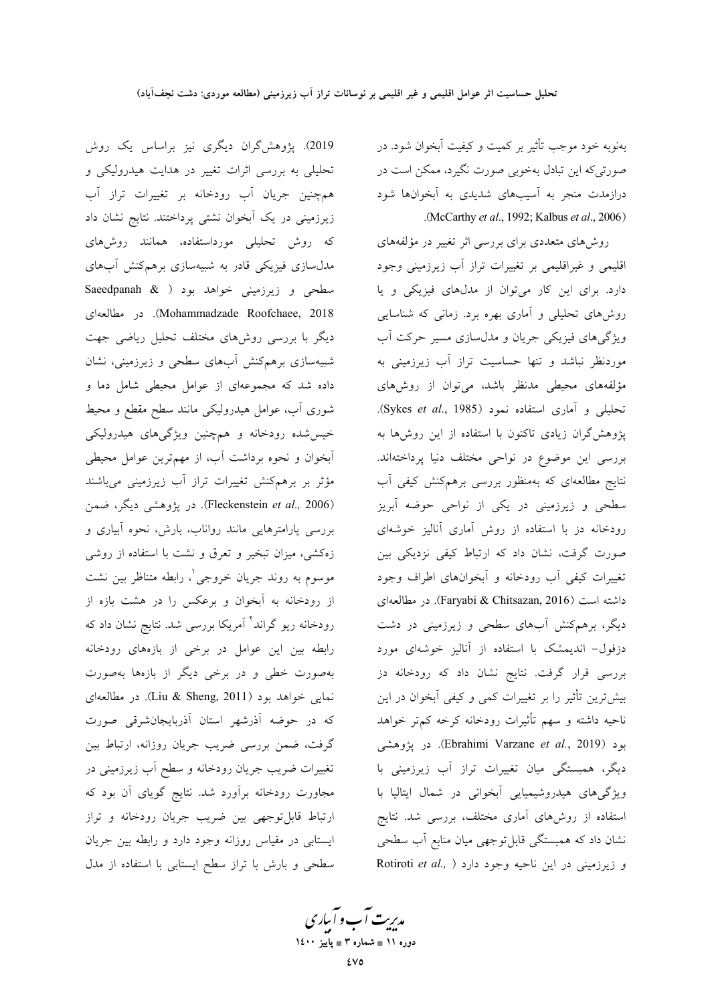بهنوبه خود موجب تأثير بر كميت و كيفيت آبخوان شود. در صورتی که این تبادل بهخوبی صورت نگیرد، ممکن است در درازمدت منجر به آسیبهای شدیدی به آبخوانها شود .(McCarthy et al., 1992; Kalbus et al., 2006).

روشهای متعددی برای بررسی اثر تغییر در مؤلفههای اقلیمی و غیراقلیمی بر تغییرات تراز آب زیرزمینی وجود دارد. برای این کار میتوان از مدلهای فیزیکی و یا روشهای تحلیلی و آماری بهره برد. زمانی که شناسایی ویژگیهای فیزیکی جریان و مدلسازی مسیر حرکت آب موردنظر نباشد وتنها حساسیت تراز آب زیرزمینی به مؤلفههای محیطی مدنظر باشد، میتوان از روشهای تحليلي و آماري استفاده نمود (Sykes et al., 1985). پژوهشگران زیادی تاکنون با استفاده از این روشها به بررسی این موضوع در نواحی مختلف دنیا پرداختهاند. نتایج مطالعهای که بهمنظور بررسی برهمکنش کیفی آب سطحی و زیرزمینی در یکی از نواحی حوضه آبریز رودخانه دز با استفاده از روش آماری آنالیز خوشهای صورت گرفت، نشان داد که ارتباط کیفی نزدیکی بین تغییرات کیفی آب رودخانه و آبخوانهای اطراف وجود داشته است (Faryabi & Chitsazan, 2016). در مطالعهای دیگر، برهمکنش آبهای سطحی و زیرزمینی در دشت دزفول- اندیمشک با استفاده از آنالیز خوشهای مورد بررسی قرار گرفت. نتایج نشان داد که رودخانه دز بیش ترین تأثیر را بر تغییرات کمی و کیفی آبخوان در این ناحيه داشته و سهم تأثيرات رودخانه كرخه كمهتر خواهد بود (Ebrahimi Varzane *et al.*, 2019). در پژوهشی دیگر، همبستگی میان تغییرات تراز آب زیرزمینی با ویژگیهای هیدروشیمیایی آبخوانی در شمال ایتالیا با استفاده از روشهای آماری مختلف، بررسی شد. نتایج .<br>نشان داد که همبستگی قابلتوجهی میان منابع آب سطحی و زيرزميني در اين ناحيه وجود دارد ( Rotiroti et al.,

2019). پژوهشگران دیگری نیز براساس یک روش تحلیلی به بررسی اثرات تغییر در هدایت هیدرولیکی و همچنین جریان آب رودخانه بر تغییرات تراز آب زیرزمینی در یک آبخوان نشتی پرداختند. نتایج نشان داد که روش تحلیلی مورداستفاده، همانند روشهای مدلسازی فیزیکی قادر به شبیهسازی برهمکنش آبهای سطحی و زیرزمینی خواهد بود ( Saeedpanah & Mohammadzade Roofchaee, 2018). در مطالعهای دیگر با بررسی روشهای مختلف تحلیل ریاضی جهت شبیهسازی برهمکنش أبهای سطحی و زیرزمینی، نشان داده شد که مجموعهای از عوامل محیطی شامل دما و شوری آب، عوامل هیدرولیکی مانند سطح مقطع و محیط خیس شده رودخانه و همچنین ویژگیهای هیدرولیکی آبخوان و نحوه برداشت آب، از مهمترین عوامل محیطی مؤثر بر برهمكنش تغييرات تراز آب زيرزميني مىباشند (Fleckenstein et al., 2006). در پژوهشی دیگر، ضمن بررسی پارامترهایی مانند رواناب، بارش، نحوه آبیاری و زهکشی، میزان تبخیر و تعرق و نشت با استفاده از روشی موسوم به روند جريان خروجي`، رابطه متناظر بين نشت از رودخانه به آبخوان و برعکس را در هشت بازه از رودخانه ریو گراند<sup>۲</sup> آمریکا بررسی شد. نتایج نشان داد که رابطه بین این عوامل در برخی از بازههای رودخانه بهصورت خطی و در برخی دیگر از بازهها بهصورت نمایی خواهد بود (Liu & Sheng, 2011). در مطالعهای که در حوضه آذرشهر استان آذربایجانشرقی صورت گرفت، ضمن بررسی ضریب جریان روزانه، ارتباط بین تغییرات ضریب جریان رودخانه و سطح آب زیرزمینی در مجاورت رودخانه برآورد شد. نتایج گویای آن بود که ارتباط قابل توجهي بين ضريب جريان رودخانه و تراز ایستابی در مقیاس روزانه وجود دارد و رابطه بین جریان سطحی و بارش با تراز سطح ایستابی با استفاده از مدل

مدیریت آب و آباری دوره ۱۱ ∎ شماره ۳ ∎ یاییز ۱٤۰۰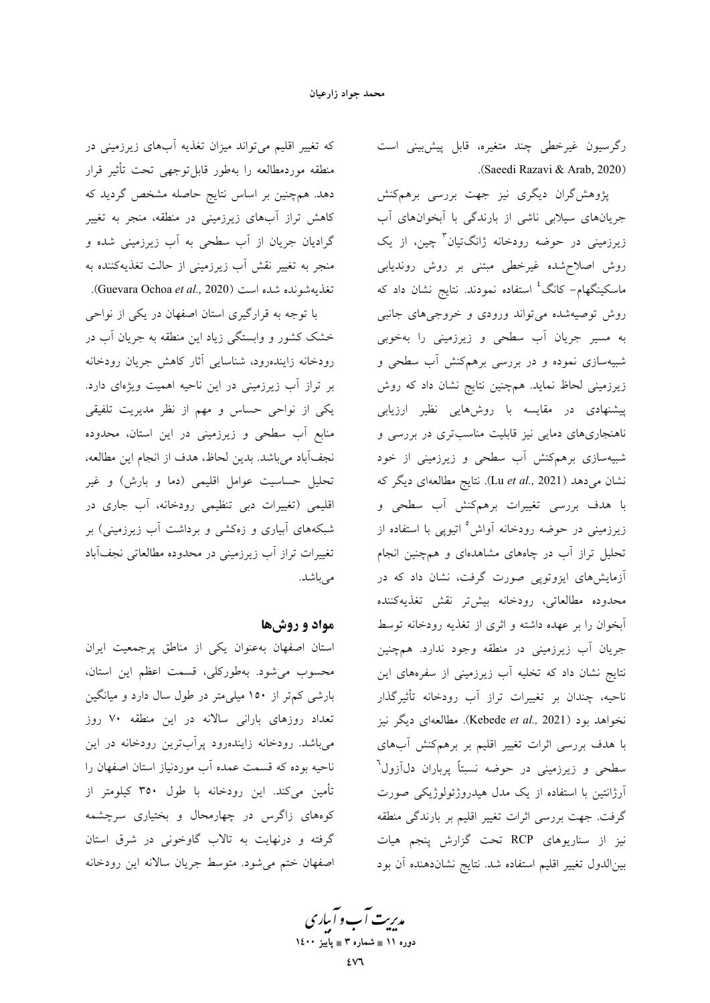رگرسیون غیرخطی چند متغیرہ، قابل پیش بینی است .(Saeedi Razavi & Arab, 2020)

پژوهش گران دیگری نیز جهت بررسی برهمکنش جریانهای سیلابی ناشی از بارندگی با آبخوانهای آب زیرزمینی در حوضه رودخانه ژانگ $\mathfrak{r}$  چین، از یک روش اصلاح شده غیرخطی مبتنی بر روش روندیابی ماسکینگهام– کانگ<sup>،</sup> استفاده نمودند. نتایج نشان داد که روش توصیهشده میتواند ورودی و خروجیهای جانبی به مسیر جریان آب سطحی و زیرزمینی را بهخوبی شبیهسازی نموده و در بررسی برهمکنش آب سطحی و زیرزمینی لحاظ نماید. همچنین نتایج نشان داد که روش پیشنهادی در مقایسه با روش۵ایی نظیر ارزیابی ناهنجاریهای دمایی نیز قابلیت مناسبتری در بررسی و شبیهسازی برهمکنش آب سطحی و زیرزمینی از خود نشان میدهد (Lu et al., 2021). نتایج مطالعهای دیگر که با هدف بررسی تغییرات برهمکنش آب سطحی و زیرزمینی در حوضه رودخانه آواش<sup>ه</sup> اتیوپی با استفاده از تحلیل تراز آب در چاههای مشاهدهای و همچنین انجام آزمایشهای ایزوتوپی صورت گرفت، نشان داد که در محدوده مطالعاتي، رودخانه بيشتر نقش تغذيهكننده آبخوان را بر عهده داشته و اثری از تغذیه رودخانه توسط جريان أب زيرزميني در منطقه وجود ندارد. همچنين نتایج نشان داد که تخلیه آب زیرزمینی از سفرههای این ناحیه، چندان بر تغییرات تراز آب رودخانه تأثیرگذار نخواهد بود (Kebede et al., 2021). مطالعهای دیگر نیز با هدف بررسی اثرات تغییر اقلیم بر برهمکنش آبهای سطحی و زیرزمینی در حوضه نسبتاً پرباران دلآزول<sup>٬</sup> اَرژانتین با استفاده از یک مدل هیدروژئولوژیکی صورت گرفت. جهت بررسی اثرات تغییر اقلیم بر بارندگی منطقه نیز از سناریوهای RCP تحت گزارش پنجم هیات بينالدول تغيير اقليم استفاده شد. نتايج نشاندهنده آن بود

که تغییر اقلیم میتواند میزان تغذیه آبهای زیرزمینی در منطقه موردمطالعه را بهطور قابلتوجهي تحت تأثير قرار دهد. همچنین بر اساس نتایج حاصله مشخص گردید که کاهش تراز آبهای زیرزمینی در منطقه، منجر به تغییر گرادیان جریان از آب سطحی به آب زیرزمینی شده و منجر به تغییر نقش آب زیرزمینی از حالت تغذیهکننده به تغذيهشونده شده است (Guevara Ochoa *et al.*, 2020).

با توجه به قرارگیری استان اصفهان در یکی از نواحی خشک کشور و وابستگی زیاد این منطقه به جریان آب در رودخانه زايندهرود، شناسايي آثار كاهش جريان رودخانه بر تراز آب زیرزمینی در این ناحیه اهمیت ویژهای دارد. یکی از نواحی حساس و مهم از نظر مدیریت تلفیقی منابع آب سطحی و زیرزمینی در این استان، محدوده نجفآباد مىباشد. بدين لحاظ، هدف از انجام اين مطالعه، تحلیل حساسیت عوامل اقلیمی (دما و بارش) و غیر اقلیمی (تغییرات دب<sub>ی</sub> تنظیمی رودخانه، آب جاری در شبکههای آبیاری و زهکشی و برداشت آب زیرزمینی) بر تغییرات تراز آب زیرزمینی در محدوده مطالعاتی نجفآباد می باشد.

### مواد و روشها

استان اصفهان بهعنوان يكى از مناطق پرجمعيت ايران محسوب مي شود. بهطوركلي، قسمت اعظم اين استان، بارشی کم تر از ۱۵۰ میلی متر در طول سال دارد و میانگین تعداد روزهای بارانی سالانه در این منطقه ۷۰ روز میباشد. رودخانه زایندهرود پرآبترین رودخانه در این ناحیه بوده که قسمت عمده آب موردنیاز استان اصفهان را تأمين ميكند. اين رودخانه با طول ٣٥٠ كيلومتر از کوههای زاگرس در چهارمحال و بختیاری سرچشمه گرفته و درنهایت به تالاب گاوخونی در شرق استان اصفهان ختم می شود. متوسط جریان سالانه این رودخانه

مدیریت آب و آباری ۔<br>دورہ ۱۱ ∎ شمارہ ۳ ∎ پاییز ۱٤۰۰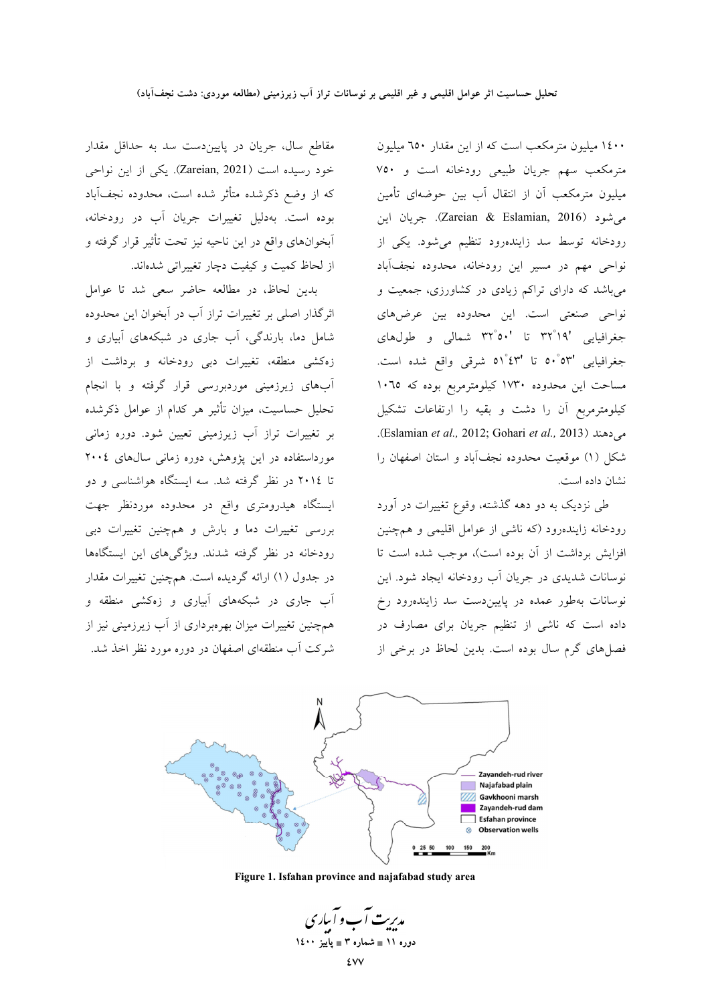۱٤٠٠ میلیون مترمکعب است که از این مقدار ٦٥٠ میلیون مترمکعب سهم جریان طبیعی رودخانه است و ۷۵۰ میلیون مترمکعب آن از انتقال آب بین حوضهای تأمین مي شود (Zareian & Eslamian, 2016). جريان اين رودخانه توسط سد زایندهرود تنظیم می شود. یکی از نواحی مهم در مسیر این رودخانه، محدوده نجفآباد میباشد که دارای تراکم زیادی در کشاورزی، جمعیت و نواحی صنعتی است. این محدوده بین عرضهای جغرافیایی '۹۹°۳۲ تا '۳۲°۴۰ شمالی و طولهای جغرافيايي "٥٠°٥٣ تا "٤٣°٥١ شرقي واقع شده است. مساحت این محدوده ۱۷۳۰ کیلومترمربع بوده که ۱۰٦٥ کیلومترمربع آن را دشت و بقیه را ارتفاعات تشکیل میدهند (Eslamian *et al.,* 2012; Gohari *et al.,* 2013). شکل (۱) موقعیت محدوده نجفآباد و استان اصفهان را نشان داده است.

طي نزديک به دو دهه گذشته، وقوع تغييرات در آورد رودخانه زایندهرود (که ناشی از عوامل اقلیمی و همچنین افزايش برداشت از آن بوده است)، موجب شده است تا نوسانات شدیدی در جریان آب رودخانه ایجاد شود. این نوسانات بهطور عمده در پاییندست سد زایندهرود رخ داده است که ناشی از تنظیم جریان برای مصارف در فصلهای گرم سال بوده است. بدین لحاظ در برخی از

مقاطع سال، جریان در پاییندست سد به حداقل مقدار خود رسيده است (Zareian, 2021). يكي از اين نواحي که از وضع ذکرشده متأثر شده است، محدوده نجفآباد بوده است. بهدلیل تغییرات جریان آب در رودخانه، آبخوانهای واقع در این ناحیه نیز تحت تأثیر قرار گرفته و از لحاظ کمیت و کیفیت دچار تغییراتی شدهاند.

بدین لحاظ، در مطالعه حاضر سعی شد تا عوامل اثرگذار اصلی بر تغییرات تراز آب در آبخوان این محدوده شامل دما، بارندگی، آب جاری در شبکههای آبیاری و زهکشی منطقه، تغییرات دبی رودخانه و برداشت از ۔<br>اَبِهای زیرزمینی موردبررسی قرار گرفته و با انجام تحلیل حساسیت، میزان تأثیر هر کدام از عوامل ذکرشده بر تغییرات تراز آب زیرزمینی تعیین شود. دوره زمانی مورداستفاده در این پژوهش، دوره زمانی سال های ۲۰۰٤ تا ۲۰۱٤ در نظر گرفته شد. سه ایستگاه هواشناسی و دو ایستگاه هیدرومتری واقع در محدوده موردنظر جهت بررسی تغییرات دما و بارش و همچنین تغییرات دبی رودخانه در نظر گرفته شدند. ویژگیهای این ایستگاهها در جدول (۱) ارائه گردیده است. همچنین تغییرات مقدار آب جاری در شبکههای آبیاری و زهکشی منطقه و همچنین تغییرات میزان بهرهبرداری از آب زیرزمینی نیز از شرکت آب منطقهای اصفهان در دوره مورد نظر اخذ شد.



Figure 1. Isfahan province and najafabad study area

مدیریت آب و آساری دوره ۱۱ ∎ شماره ۳ ∎ یاییز ۱٤۰۰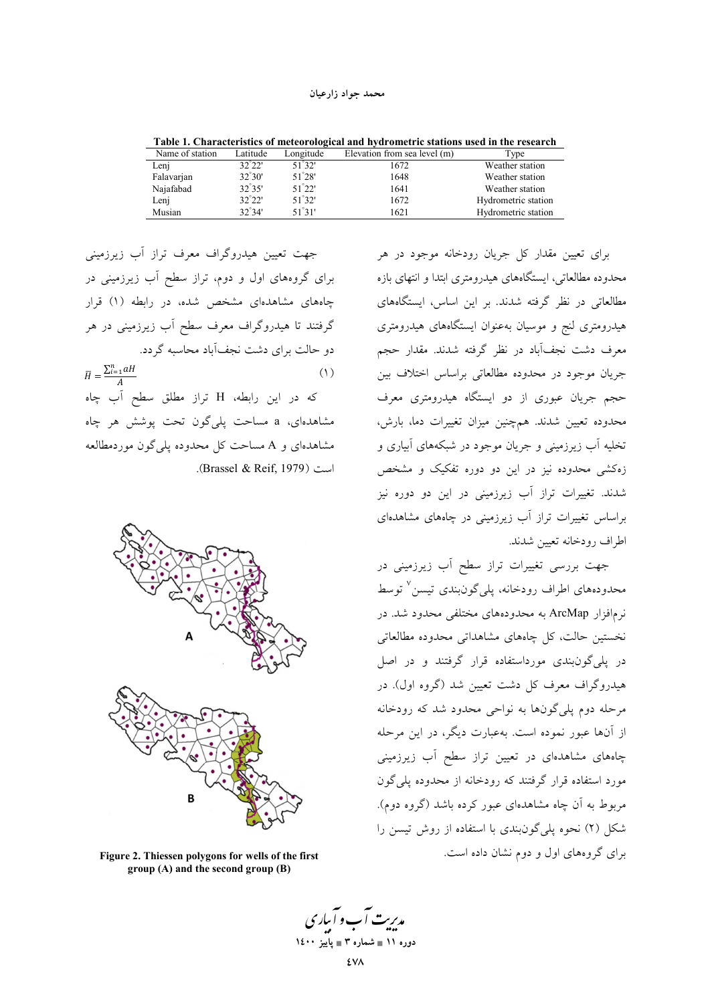| Name of station | Latitude        | Longitude       | Elevation from sea level (m) | Type                |
|-----------------|-----------------|-----------------|------------------------------|---------------------|
| Lenj            | $32^{\circ}22'$ | $51^{\circ}32'$ | 1672                         | Weather station     |
| Falavarjan      | $32^{\circ}30'$ | $51^{\circ}28'$ | 1648                         | Weather station     |
| Najafabad       | $32^{\circ}35'$ | $51^{\circ}22'$ | 1641                         | Weather station     |
| Leni            | $32^{\circ}22'$ | $51^{\circ}32'$ | 1672                         | Hydrometric station |
| Musian          | $32^{\circ}34'$ | 51°31'          | 1621                         | Hydrometric station |

Table 1. Characteristics of meteorological and hydrometric stations used in the research

جهت تعیین هیدروگراف معرف تراز آب زیرزمینی برای گروههای اول و دوم، تراز سطح آب زیرزمینی در چاههای مشاهدهای مشخص شده، در رابطه (۱) قرار گرفتند تا هیدروگراف معرف سطح آب زیرزمینی در هر دو حالت برای دشت نجفآباد محاسبه گردد.  $\overline{H} = \frac{\sum_{i=1}^{n} aH}{\overline{a}}$  $(1)$ که در این رابطه، H تراز مطلق سطح آب چاه مشاهدهاي، a مساحت پليگون تحت پوشش هر چاه مشاهدهای و A مساحت کل محدوده یلی گون موردمطالعه  $(Rrassel & Reif. 1979)$ 



Figure 2. Thiessen polygons for wells of the first group  $(A)$  and the second group  $(B)$ 

برای تعیین مقدار کل جریان رودخانه موجود در هر محدوده مطالعاتی، ایستگاههای هیدرومتری ابتدا و انتهای بازه مطالعاتی در نظر گرفته شدند. بر این اساس، ایستگاههای هیدرومتری لنج و موسیان بهعنوان ایستگاههای هیدرومتری .<br>معرف دشت نجف**آباد در نظر گرفته شدند. مقدار ح**جم جریان موجود در محدوده مطالعاتی براساس اختلاف بین حجم جریان عبوری از دو ایستگاه هیدرومتری معرف محدوده تعیین شدند. همچنین میزان تغییرات دما، بارش، تخلیه آب زیرزمینی و جریان موجود در شبکههای آبیاری و زهکشی محدوده نیز در این دو دوره تفکیک و مشخص .<br>شدند. تغییرات تراز آب زیرزمینی در این دو دوره نیز براساس تغییرات تراز آب زیرزمینی در چاههای مشاهدهای اطراف رودخانه تعبين شدند.

جهت بررسی تغییرات تراز سطح آب زیرزمینی در محدودههای اطراف رودخانه، پلی گون بندی تیسن ٌ توسط .<br>نرمافزار ArcMap به محدودههای مختلفی محدود شد. در نخستین حالت، کل چاههای مشاهداتی محدوده مطالعاتی در یلی گون.بندی مورداستفاده قرار گرفتند و در اصل هیدروگراف معرف کل دشت تعیین شد (گروه اول). در مرحله دوم پلیگونها به نواحی محدود شد که رودخانه از آنها عبور نموده است. بهعبارت دیگر، در این مرحله چاههای مشاهدهای در تعیین تراز سطح آب زیرزمینی مورد استفاده قرار گرفتند که رودخانه از محدوده یلی گون مربوط به آن چاه مشاهدهای عبور کرده باشد (گروه دوم). شکل (۲) نحوه پلی گون بندی با استفاده از روش تیسن را برای گروههای اول و دوم نشان داده است.

مد*ی*ریت آب و آبیاری دوره ۱۱ = شماره ۳ = یاییز ۱٤۰۰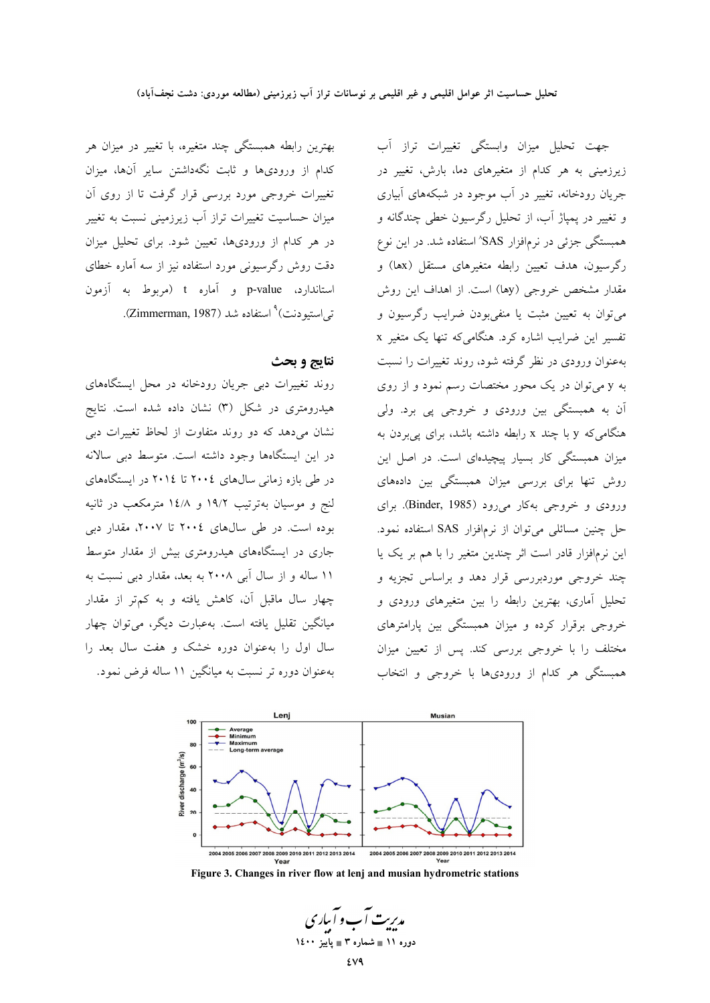بهترین رابطه همبستگی چند متغیره، با تغییر در میزان هر کدام از ورودیها و ثابت نگهداشتن سایر آنها، میزان تغییرات خروجی مورد بررسی قرار گرفت تا از روی آن میزان حساسیت تغییرات تراز آب زیرزمینی نسبت به تغییر در هر کدام از ورودیها، تعیین شود. برای تحلیل میزان دقت روش رگرسیونی مورد استفاده نیز از سه آماره خطای استاندارد، p-value و آماره t (مربوط به آزمون تي استيو دنت) <sup>۹</sup> استفاده شد (Zimmerman, 1987).

## نتايج و بحث

روند تغییرات دبی جریان رودخانه در محل ایستگاههای هیدرومتری در شکل (۳) نشان داده شده است. نتایج نشان می دهد که دو روند متفاوت از لحاظ تغییرات دبی در این ایستگاهها وجود داشته است. متوسط دبی سالانه در طی بازه زمانی سال های ۲۰۰٤ تا ۲۰۱٤ در ایستگاههای لنج و موسیان بهترتیب ۱۹/۲ و ۱٤/۸ مترمکعب در ثانیه بوده است. در طی سالهای ۲۰۰٤ تا ۲۰۰۷، مقدار دبی جاری در ایستگاههای هیدرومتری بیش از مقدار متوسط ۱۱ ساله و از سال آبی ۲۰۰۸ به بعد، مقدار دبی نسبت به چهار سال ماقبل آن، کاهش یافته و به کمتر از مقدار میانگین تقلیل یافته است. بهعبارت دیگر، می توان چهار سال اول را بهعنوان دوره خشک و هفت سال بعد را بهعنوان دوره تر نسبت به میانگین ۱۱ ساله فرض نمود.

جهت تحلیل میزان وابستگی تغییرات تراز آب زیرزمینی به هر کدام از متغیرهای دما، بارش، تغییر در جریان رودخانه، تغییر در آب موجود در شبکههای آبیاری و تغییر در پمپاژ آب، از تحلیل رگرسیون خطی چندگانه و همبستگی جزئی در نرمافزار SAS′ استفاده شد. در این نوع رگرسیون، هدف تعیین رابطه متغیرهای مستقل (xها) و مقدار مشخص خروجی (sy) است. از اهداف این روش می توان به تعیین مثبت یا منفیبودن ضرایب رگرسیون و تفسیر این ضرایب اشاره کرد. هنگامی که تنها یک متغیر x بهعنوان ورودی در نظر گرفته شود، روند تغییرات را نسبت به y می توان در یک محور مختصات رسم نمود و از روی آن به همبستگی بین ورودی و خروجی یی برد. ولی هنگامی که y با چند x رابطه داشته باشد، برای پیبردن به میزان همبستگی کار بسیار پیچیدهای است. در اصل این روش تنها برای بررسی میزان همبستگی بین دادههای ورودي و خروجي بهكار مي رود (Binder, 1985). براي حل چنین مسائلی می توان از نرمافزار SAS استفاده نمود. این نرمافزار قادر است اثر چندین متغیر را با هم بر یک یا چند خروجی موردبررسی قرار دهد و براساس تجزیه و تحلیل آماری، بهترین رابطه را بین متغیرهای ورودی و خروجی برقرار کرده و میزان همبستگی بین پارامترهای مختلف را با خروجی بررسی کند. پس از تعیین میزان همبستگی هر کدام از ورودیها با خروجی و انتخاب



Figure 3. Changes in river flow at lenj and musian hydrometric stations

م*دریت آ*ب و آساری دوره ۱۱ ∎ شماره ۳ ∎ یاییز ۱٤۰۰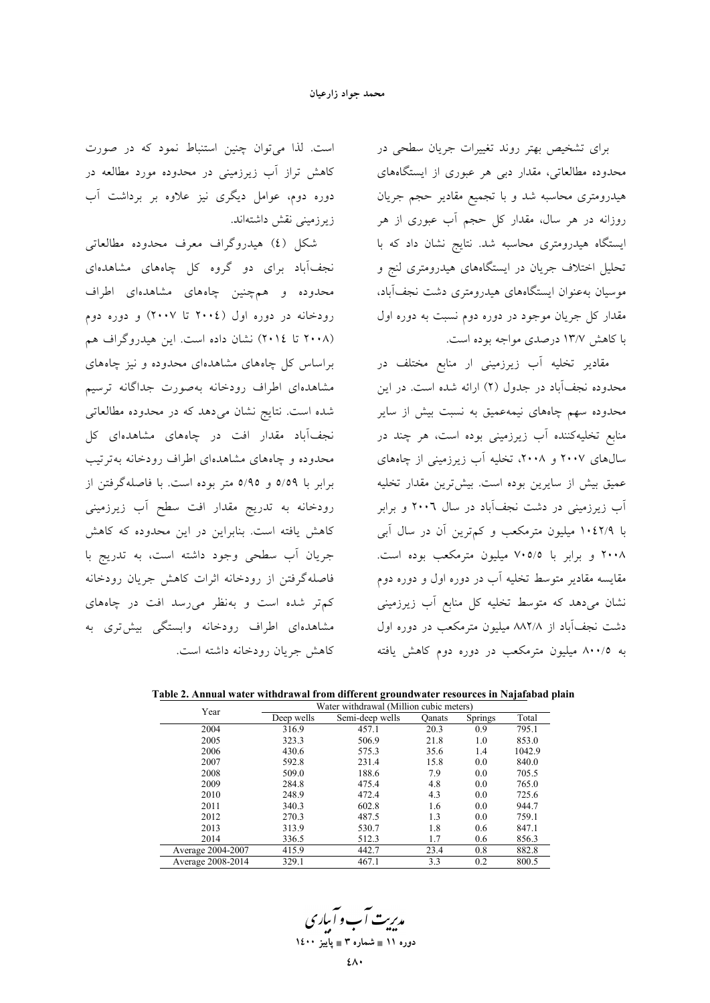برای تشخیص بهتر روند تغییرات جریان سطحی در محدوده مطالعاتی، مقدار دبی هر عبوری از ایستگاههای هیدرومتری محاسبه شد و با تجمیع مقادیر حجم جریان روزانه در هر سال، مقدار کل حجم آب عبوری از هر ایستگاه هیدرومتری محاسبه شد. نتایج نشان داد که با تحلیل اختلاف جریان در ایستگاههای هیدرومتری لنج و موسیان بهعنوان ایستگاههای هیدرومتری دشت نجفآباد، مقدار کل جریان موجود در دوره دوم نسبت به دوره اول با کاهش ۱۳/۷ درصدی مواجه بوده است.

مقادیر تخلیه آب زیرزمینی ار منابع مختلف در محدوده نجفآباد در جدول (۲) ارائه شده است. در این محدوده سهم چاههای نیمهعمیق به نسبت بیش از سایر منابع تخلیهکننده آب زیرزمینی بوده است، هر چند در سالههای ۲۰۰۷ و ۲۰۰۸، تخلیه آب زیرزمینی از چاههای عميق بيش از سايرين بوده است. بيشترين مقدار تخليه آب زیرزمینی در دشت نجفآباد در سال ۲۰۰٦ و برابر با ۱۰٤٢/۹ میلیون مترمکعب و کمترین آن در سال آبی ۲۰۰۸ و برابر با ۷۰۵/۵ میلیون مترمکعب بوده است. مقایسه مقادیر متوسط تخلیه آب در دوره اول و دوره دوم نشان می دهد که متوسط تخلیه کل منابع آب زیرزمینی دشت نجف آباد از ۸۸۲/۸ میلیون مترمکعب در دوره اول به ٨٠٠/٥ ميليون مترمكعب در دوره دوم كاهش يافته

است. لذا می توان چنین استنباط نمود که در صورت کاهش تراز آب زیرزمینی در محدوده مورد مطالعه در دوره دوم، عوامل دیگری نیز علاوه بر برداشت آب زيرزميني نقش داشتهاند.

شکل (٤) هیدروگراف معرف محدوده مطالعاتبي نجف آباد برای دو گروه کل چاههای مشاهدهای محدوده و هم چنین چاههای مشاهدهای اطراف رودخانه در دوره اول (٢٠٠٤ تا ٢٠٠٧) و دوره دوم (۲۰۰۸ تا ۲۰۱٤) نشان داده است. این هیدروگراف هم براساس کل چاههای مشاهدهای محدوده و نیز چاههای مشاهدهاى اطراف رودخانه بهصورت جداگانه ترسيم شده است. نتایج نشان میدهد که در محدوده مطالعاتی نجفآباد مقدار افت در چاههای مشاهدهای کل محدوده و چاههای مشاهدهای اطراف رودخانه بهترتیب برابر با ٥/٥٩ و ٥/٩٥ متر بوده است. با فاصله گرفتن از رودخانه به تدریج مقدار افت سطح آب زیرزمینی کاهش یافته است. بنابراین در این محدوده که کاهش جريان أب سطحي وجود داشته است، به تدريج با فاصله گرفتن از رودخانه اثرات كاهش جريان رودخانه کم تر شده است و بهنظر می رسد افت در چاههای مشاهدهای اطراف رودخانه وابستگی بیشترری به كاهش جريان رودخانه داشته است.

Table 2. Annual water withdrawal from different groundwater resources in Najafabad plain

| Year              | Water withdrawal (Million cubic meters) |                 |        |         |        |  |  |
|-------------------|-----------------------------------------|-----------------|--------|---------|--------|--|--|
|                   | Deep wells                              | Semi-deep wells | Qanats | Springs | Total  |  |  |
| 2004              | 316.9                                   | 457.1           | 20.3   | 0.9     | 795.1  |  |  |
| 2005              | 323.3                                   | 506.9           | 21.8   | 1.0     | 853.0  |  |  |
| 2006              | 430.6                                   | 575.3           | 35.6   | 1.4     | 1042.9 |  |  |
| 2007              | 592.8                                   | 231.4           | 15.8   | 0.0     | 840.0  |  |  |
| 2008              | 509.0                                   | 188.6           | 7.9    | 0.0     | 705.5  |  |  |
| 2009              | 284.8                                   | 475.4           | 4.8    | 0.0     | 765.0  |  |  |
| 2010              | 248.9                                   | 472.4           | 4.3    | 0.0     | 725.6  |  |  |
| 2011              | 340.3                                   | 602.8           | 1.6    | 0.0     | 944.7  |  |  |
| 2012              | 270.3                                   | 487.5           | 1.3    | 0.0     | 759.1  |  |  |
| 2013              | 313.9                                   | 530.7           | 1.8    | 0.6     | 847.1  |  |  |
| 2014              | 336.5                                   | 512.3           | 1.7    | 0.6     | 856.3  |  |  |
| Average 2004-2007 | 415.9                                   | 442.7           | 23.4   | 0.8     | 882.8  |  |  |
| Average 2008-2014 | 329.1                                   | 467.1           | 3.3    | 0.2     | 800.5  |  |  |

مدبریت آب و آبیاری دوره ۱۱ ∎ شماره ۳ ∎ یاییز ۱٤۰۰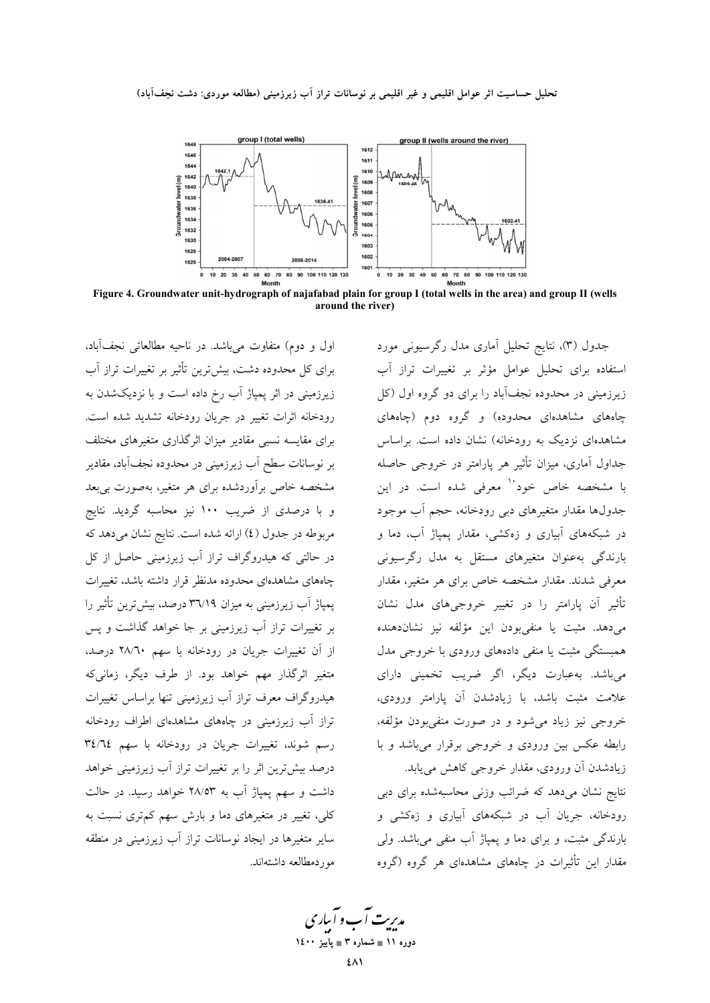

Figure 4. Groundwater unit-hydrograph of najafabad plain for group I (total wells in the area) and group II (wells around the river)

اول و دوم) متفاوت می باشد. در ناحیه مطالعاتی نجفآباد، برای کل محدوده دشت، بیشترین تأثیر بر تغییرات تراز آب زیرزمینی در اثر پمپاژ آب رخ داده است و با نزدیکشدن به رودخانه اثرات تغییر در جریان رودخانه تشدید شده است. برای مقایسه نسبی مقادیر میزان اثرگذاری متغیرهای مختلف بر نوسانات سطح آب زیرزمینی در محدوده نجفآباد، مقادیر مشخصه خاص برأوردشده براى هر متغير، بهصورت بىبعد و با درصدی از ضریب ۱۰۰ نیز محاسبه گردید. نتایج مربوطه در جدول (٤) ارائه شده است. نتايج نشان مىدهد كه در حالتی که هیدروگراف تراز آب زیرزمینی حاصل از کل چاههای مشاهدهای محدوده مدنظر قرار داشته باشد، تغییرات پمپاژ آب زیرزمینی به میزان ۳٦/۱۹ درصد، بیشترین تأثیر را بر تغییرات تراز آب زیرزمینی بر جا خواهد گذاشت و پس از آن تغییرات جریان در رودخانه با سهم ۲۸/٦۰ درصد، .<br>متغیر اثرگذار مهم خواهد بود. از طرف دیگر، زمان<sub>ی</sub>که هیدروگراف معرف تراز آب زیرزمینی تنها براساس تغییرات تراز آب زیرزمینی در چاههای مشاهدهای اطراف رودخانه رسم شوند، تغییرات جریان در رودخانه با سهم ٣٤/٦٤ درصد بیش ترین اثر را بر تغییرات تراز آب زیرزمینی خواهد داشت و سهم پمپاژ آب به ۲۸/۵۳ خواهد رسید. در حالت کلی، تغییر در متغیرهای دما و بارش سهم کمتری نسبت به سایر متغیرها در ایجاد نوسانات تراز آب زیرزمینی در منطقه موردمطالعه داشتهاند. جدول (۳)، نتایج تحلیل آماری مدل رگرسیونی مورد استفاده برای تحلیل عوامل مؤثر بر تغییرات تراز آب زیرزمینی در محدوده نجفآباد را برای دو گروه اول (کل .<br>چاههای مشاهدهای محدوده) و گروه دوم (چاههای مشاهدهای نزدیک به رودخانه) نشان داده است. براساس جداول آماری، میزان تأثیر هر پارامتر در خروجی حاصله با مشخصه خاص خود<sup>۱۰</sup> معرفی شده است. در این جدولها مقدار متغیرهای دبی رودخانه، حجم أب موجود در شبکههای آبیاری و زهکشی، مقدار یمیاژ آب، دما و بارندگی بهعنوان متغیرهای مستقل به مدل رگرسیونی معرفی شدند. مقدار مشخصه خاص برای هر متغیر، مقدار تأثیر آن پارامتر را در تغییر خروجیهای مدل نشان مي دهد. مثبت يا منفي بودن اين مؤلفه نيز نشاندهنده همبستگی مثبت یا منفی دادههای ورودی با خروجی مدل میباشد. بهعبارت دیگر، اگر ضریب تخمینی دارای علامت مثبت باشد، با زیادشدن آن پارامتر ورودی، خروجي نيز زياد مي شود و در صورت منفي بودن مؤلفه، رابطه عکس بین ورودی و خروجی برقرار میباشد و با زیادشدن آن ورودی، مقدار خروجی کاهش می یابد.

نتایج نشان میدهد که ضرائب وزنی محاسبهشده برای دبی رودخانه، جریان آب در شبکههای آبیاری و زهکشی و بارندگی مثبت، و برای دما و پمپاژ آب منفی میباشد. ولی مقدار این تأثیرات در چاههای مشاهدهای هر گروه (گروه

مدیریت آب و آساری دوره ۱۱ = شماره ۳ = پاییز ۱٤۰۰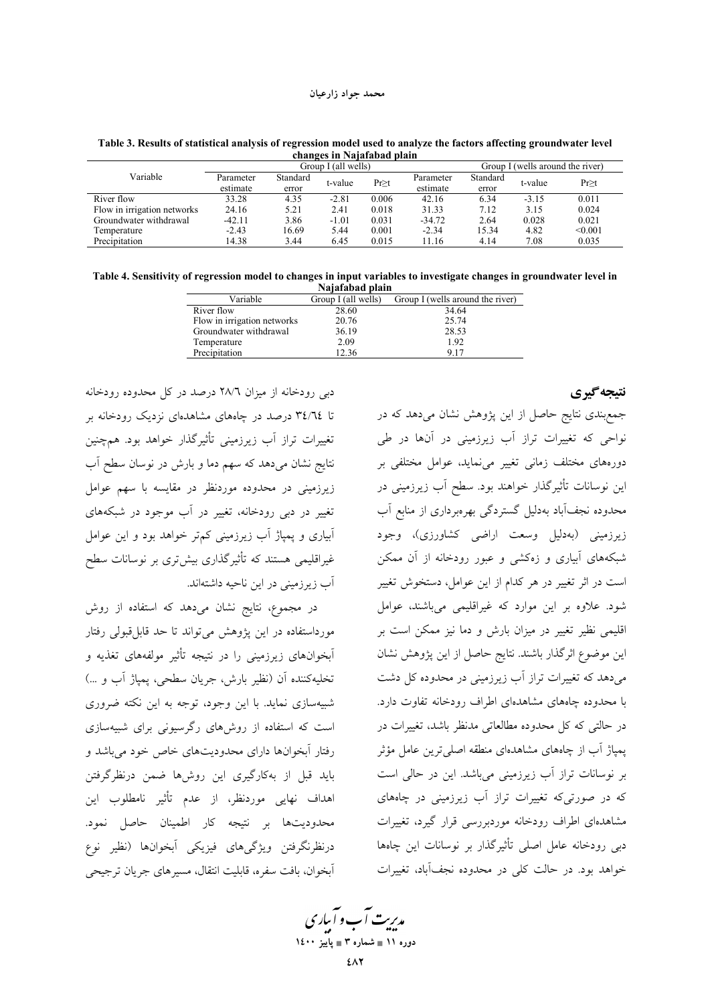| enanges in Najarabad piain  |                     |          |         |             |                                  |          |         |             |
|-----------------------------|---------------------|----------|---------|-------------|----------------------------------|----------|---------|-------------|
|                             | Group I (all wells) |          |         |             | Group I (wells around the river) |          |         |             |
| Variable                    | Parameter           | Standard | t-value | $Pr \geq t$ | Parameter                        | Standard | t-value | $Pr \geq t$ |
|                             | estimate            | error    |         |             | estimate                         | error    |         |             |
| River flow                  | 33.28               | 4.35     | $-2.81$ | 0.006       | 42.16                            | 6.34     | $-3.15$ | 0.011       |
| Flow in irrigation networks | 24.16               | 5.21     | 2.41    | 0.018       | 31.33                            | 7.12     | 3.15    | 0.024       |
| Groundwater withdrawal      | $-42.11$            | 3.86     | $-1.01$ | 0.031       | $-34.72$                         | 2.64     | 0.028   | 0.021       |
| Temperature                 | $-2.43$             | 16.69    | 5.44    | 0.001       | $-2.34$                          | 15.34    | 4.82    | < 0.001     |
| Precipitation               | 14.38               | 3.44     | 6.45    | 0.015       | 11.16                            | 4.14     | 7.08    | 0.035       |

Table 3. Results of statistical analysis of regression model used to analyze the factors affecting groundwater level

| Table 4. Sensitivity of regression model to changes in input variables to investigate changes in groundwater level in |  |
|-----------------------------------------------------------------------------------------------------------------------|--|
| Najafabad plain                                                                                                       |  |

| Variable                    | Group I (all wells) | Group I (wells around the river) |
|-----------------------------|---------------------|----------------------------------|
| River flow                  | 28.60               | 34.64                            |
| Flow in irrigation networks | 20.76               | 25.74                            |
| Groundwater withdrawal      | 36.19               | 28.53                            |
| Temperature                 | 2.09                | 1.92                             |
| Precipitation               | 12.36               | 9.17                             |
|                             |                     |                                  |

دبی رودخانه از میزان ۲۸/٦ درصد در کل محدوده رودخانه تا ۳٤/٦٤ درصد در چاههای مشاهدهای نزدیک رودخانه بر تغییرات تراز آب زیرزمینی تأثیرگذار خواهد بود. همچنین نتایج نشان میدهد که سهم دما و بارش در نوسان سطح آب زیرزمینی در محدوده موردنظر در مقایسه با سهم عوامل تغییر در دبی رودخانه، تغییر در آب موجود در شبکههای آبیاری و پمپاژ آب زیرزمینی کم تر خواهد بود و این عوامل .<br>غیراقلیمی هستند که تأثیرگذاری بیشتری بر نوسانات سطح آب زیرزمینی در این ناحیه داشتهاند.

در مجموع، نتایج نشان میدهد که استفاده از روش مورداستفاده در این پژوهش می تواند تا حد قابل قبولی رفتار .<br>آبخوانهای زیرزمینی را در نتیجه تأثیر مولفههای تغذیه و تخليهكننده آن (نظير بارش، جريان سطحي، يمياژ آب و …) شبیهسازی نماید. با این وجود، توجه به این نکته ضروری است که استفاده از روشهای رگرسیونی برای شبیهسازی رفتار آبخوانها دارای محدودیتهای خاص خود میباشد و باید قبل از بهکارگیری این روشها ضمن درنظرگرفتن اهداف نهایی موردنظر، از عدم تأثیر نامطلوب این .<br>محدودیتها بر نتیجه کار اطمینان حاصل نمود. درنظرنگرفتن ویژگیهای فیزیکی آبخوانها (نظیر نوع آبخوان، بافت سفره، قابليت انتقال، مسيرهاي جريان ترجيحي

### نتيجه گيري

جمع بندی نتایج حاصل از این پژوهش نشان می دهد که در .<br>نواحی که تغییرات تراز آب زیرزمینی در آنها در طی دورههای مختلف زمانی تغییر می نماید، عوامل مختلفی بر این نوسانات تأثیرگذار خواهند بود. سطح آب زیرزمینی در محدوده نجف]باد بهدلیل گستردگی بهرهبرداری از منابع آب .<br>زیرزمینی (بهدلیل وسعت اراضی کشاورزی)، وجود شبکههای آبیاری و زهکشی و عبور رودخانه از آن ممکن است در اثر تغییر در هر کدام از این عوامل، دستخوش تغییر شود. علاوه بر این موارد که غیراقلیمی میباشند، عوامل اقلیمی نظیر تغییر در میزان بارش و دما نیز ممکن است بر این موضوع اثرگذار باشند. نتایج حاصل از این پژوهش نشان میدهد که تغییرات تراز آب زیرزمینی در محدوده کل دشت با محدوده چاههای مشاهدهای اطراف رودخانه تفاوت دارد. در حالتی که کل محدوده مطالعاتی مدنظر باشد، تغییرات در پمپاژ آب از چاههای مشاهدهای منطقه اصلی ترین عامل مؤثر بر نوسانات تراز آب زیرزمینی میباشد. این در حالی است که در صورتیکه تغییرات تراز آب زیرزمینی در چاههای مشاهدهای اطراف رودخانه موردبررسی قرار گیرد، تغییرات دبی رودخانه عامل اصلی تأثیرگذار بر نوسانات این چاهها خواهد بود. در حالت کلی در محدوده نجفآباد، تغییرات

مدیریت آب و آباری دوره ۱۱ ∎ شماره ۳ ∎ یاییز ۱٤۰۰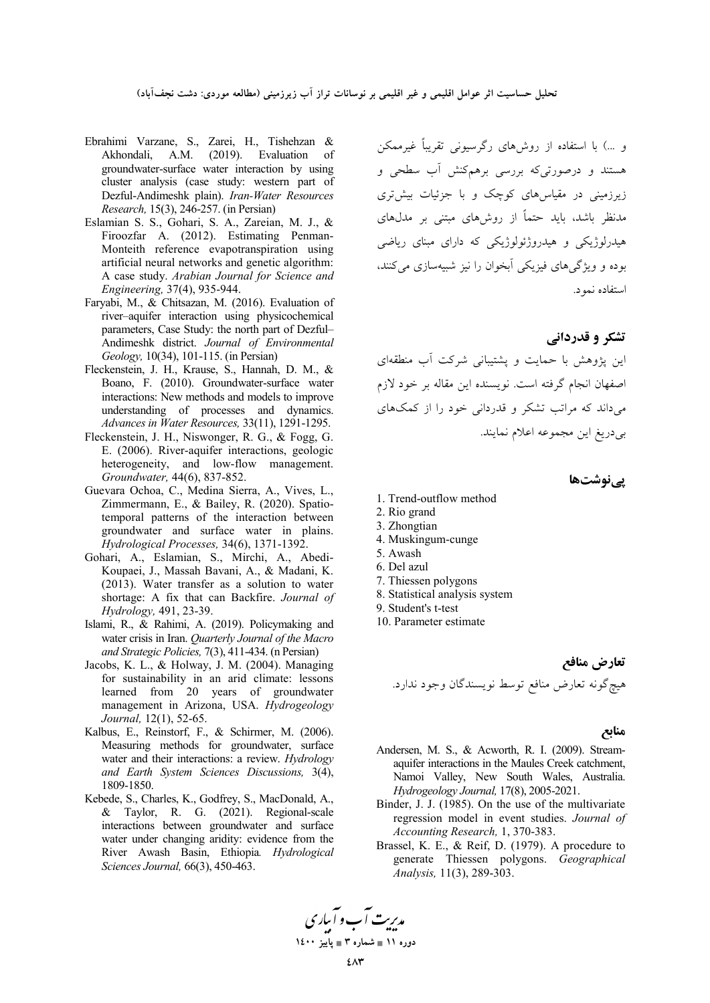- Ebrahimi Varzane, S., Zarei, H., Tishehzan & A.M. (2019). Evaluation Akhondali,  $\sigma$ groundwater-surface water interaction by using cluster analysis (case study: western part of Dezful-Andimeshk plain). Iran-Water Resources Research, 15(3), 246-257. (in Persian)
- Eslamian S. S., Gohari, S. A., Zareian, M. J., & Firoozfar A. (2012). Estimating Penman-Monteith reference evapotranspiration using artificial neural networks and genetic algorithm: A case study. Arabian Journal for Science and Engineering, 37(4), 935-944.
- Faryabi, M., & Chitsazan, M. (2016). Evaluation of river-aquifer interaction using physicochemical parameters, Case Study: the north part of Dezful-Andimeshk district. Journal of Environmental Geology, 10(34), 101-115. (in Persian)
- Fleckenstein, J. H., Krause, S., Hannah, D. M., & Boano, F. (2010). Groundwater-surface water interactions: New methods and models to improve understanding of processes and dynamics. Advances in Water Resources, 33(11), 1291-1295.
- Fleckenstein, J. H., Niswonger, R. G., & Fogg, G. E. (2006). River-aquifer interactions, geologic heterogeneity, and low-flow management. Groundwater, 44(6), 837-852.
- Guevara Ochoa, C., Medina Sierra, A., Vives, L., Zimmermann, E., & Bailey, R. (2020). Spatiotemporal patterns of the interaction between groundwater and surface water in plains. Hydrological Processes, 34(6), 1371-1392.
- Gohari, A., Eslamian, S., Mirchi, A., Abedi-Koupaei, J., Massah Bavani, A., & Madani, K.  $(2013)$ . Water transfer as a solution to water shortage: A fix that can Backfire. Journal of Hydrology, 491, 23-39.
- Islami, R., & Rahimi, A. (2019). Policymaking and water crisis in Iran. Ouarterly Journal of the Macro and Strategic Policies, 7(3), 411-434. (n Persian)
- Jacobs, K. L., & Holway, J. M. (2004). Managing for sustainability in an arid climate: lessons learned from 20 years of groundwater management in Arizona, USA. Hydrogeology Journal, 12(1), 52-65.
- Kalbus, E., Reinstorf, F., & Schirmer, M. (2006). Measuring methods for groundwater, surface water and their interactions: a review. Hydrology and Earth System Sciences Discussions, 3(4), 1809-1850.
- Kebede, S., Charles, K., Godfrey, S., MacDonald, A., Taylor, R. G. (2021). Regional-scale & interactions between groundwater and surface water under changing aridity: evidence from the River Awash Basin, Ethiopia. Hydrological Sciences Journal, 66(3), 450-463.

و …) با استفاده از روشهای رگرسیونی تقریباً غیرممکن .<br>هستند و درصورتیکه بررسی برهمکنش آب سطحی و .<br>زیرزمینی در مقیاسهای کوچک و با جزئیات بیشتری مدنظر باشد، باید حتماً از روشهای مبتنی بر مدلهای هیدرلوژیکی و هیدروژئولوژیکی که دارای مبنای ریاضی بوده و ویژگے های فیزیکی آبخوان را نیز شبیهسازی می کنند، استفاده نمود.

### تشکر و قدردانی

این پژوهش با حمایت و پشتیبانی شرکت آب منطقهای اصفهان انجام گرفته است. نویسنده این مقاله بر خود لازم می داند که مراتب تشکر و قدردانی خود را از کمکهای بي دريغ اين مجموعه اعلام نمايند.

یے نوشتھا

- 1. Trend-outflow method
- 2. Rio grand
- 3. Zhongtian
- 4. Muskingum-cunge
- 5. Awash
- 6. Del azul
- 7. Thiessen polygons
- 8. Statistical analysis system
- 9. Student's t-test
- 10. Parameter estimate

# تعارض منافع

### منابع

- Andersen, M. S., & Acworth, R. I. (2009). Streamaquifer interactions in the Maules Creek catchment, Namoi Valley, New South Wales, Australia. Hydrogeology Journal, 17(8), 2005-2021.
- Binder, J. J. (1985). On the use of the multivariate regression model in event studies. Journal of Accounting Research, 1, 370-383.
- Brassel, K. E., & Reif, D. (1979). A procedure to generate Thiessen polygons. Geographical Analysis, 11(3), 289-303.